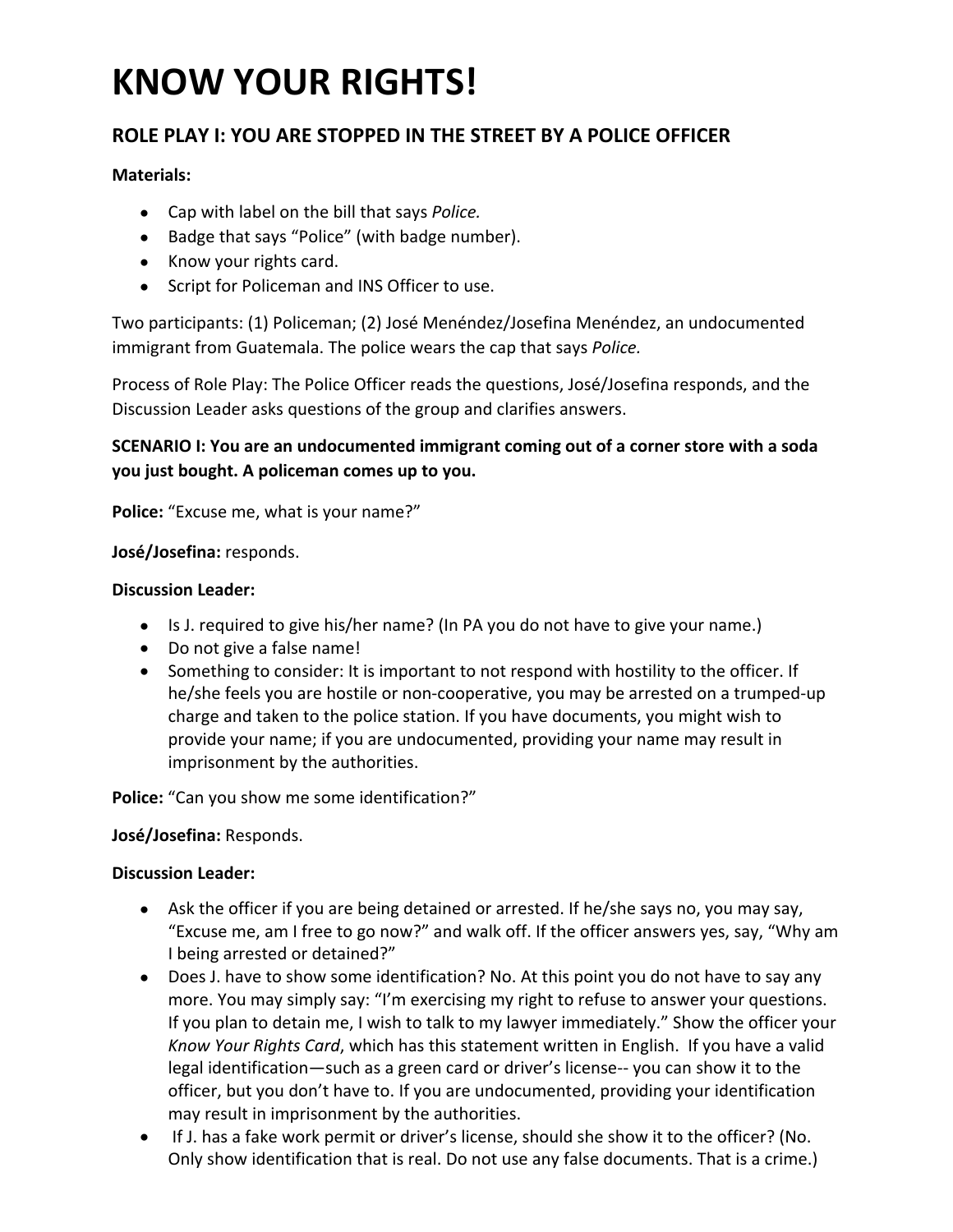# **KNOW YOUR RIGHTS!**

### **ROLE PLAY I: YOU ARE STOPPED IN THE STREET BY A POLICE OFFICER**

#### **Materials:**

- Cap with label on the bill that says *Police.*
- Badge that says "Police" (with badge number).
- Know your rights card.
- Script for Policeman and INS Officer to use.

Two participants: (1) Policeman; (2) José Menéndez/Josefina Menéndez, an undocumented immigrant from Guatemala. The police wears the cap that says *Police.* 

Process of Role Play: The Police Officer reads the questions, José/Josefina responds, and the Discussion Leader asks questions of the group and clarifies answers.

#### **SCENARIO I: You are an undocumented immigrant coming out of a corner store with a soda you just bought. A policeman comes up to you.**

**Police:** "Excuse me, what is your name?"

#### **José/Josefina:** responds.

#### **Discussion Leader:**

- Is J. required to give his/her name? (In PA you do not have to give your name.)
- Do not give a false name!
- Something to consider: It is important to not respond with hostility to the officer. If he/she feels you are hostile or non‐cooperative, you may be arrested on a trumped‐up charge and taken to the police station. If you have documents, you might wish to provide your name; if you are undocumented, providing your name may result in imprisonment by the authorities.

**Police:** "Can you show me some identification?"

#### **José/Josefina:** Responds.

#### **Discussion Leader:**

- Ask the officer if you are being detained or arrested. If he/she says no, you may say, "Excuse me, am I free to go now?" and walk off. If the officer answers yes, say, "Why am I being arrested or detained?"
- Does J. have to show some identification? No. At this point you do not have to say any more. You may simply say: "I'm exercising my right to refuse to answer your questions. If you plan to detain me, I wish to talk to my lawyer immediately." Show the officer your *Know Your Rights Card*, which has this statement written in English. If you have a valid legal identification—such as a green card or driver's license-- you can show it to the officer, but you don't have to. If you are undocumented, providing your identification may result in imprisonment by the authorities.
- If J. has a fake work permit or driver's license, should she show it to the officer? (No. Only show identification that is real. Do not use any false documents. That is a crime.)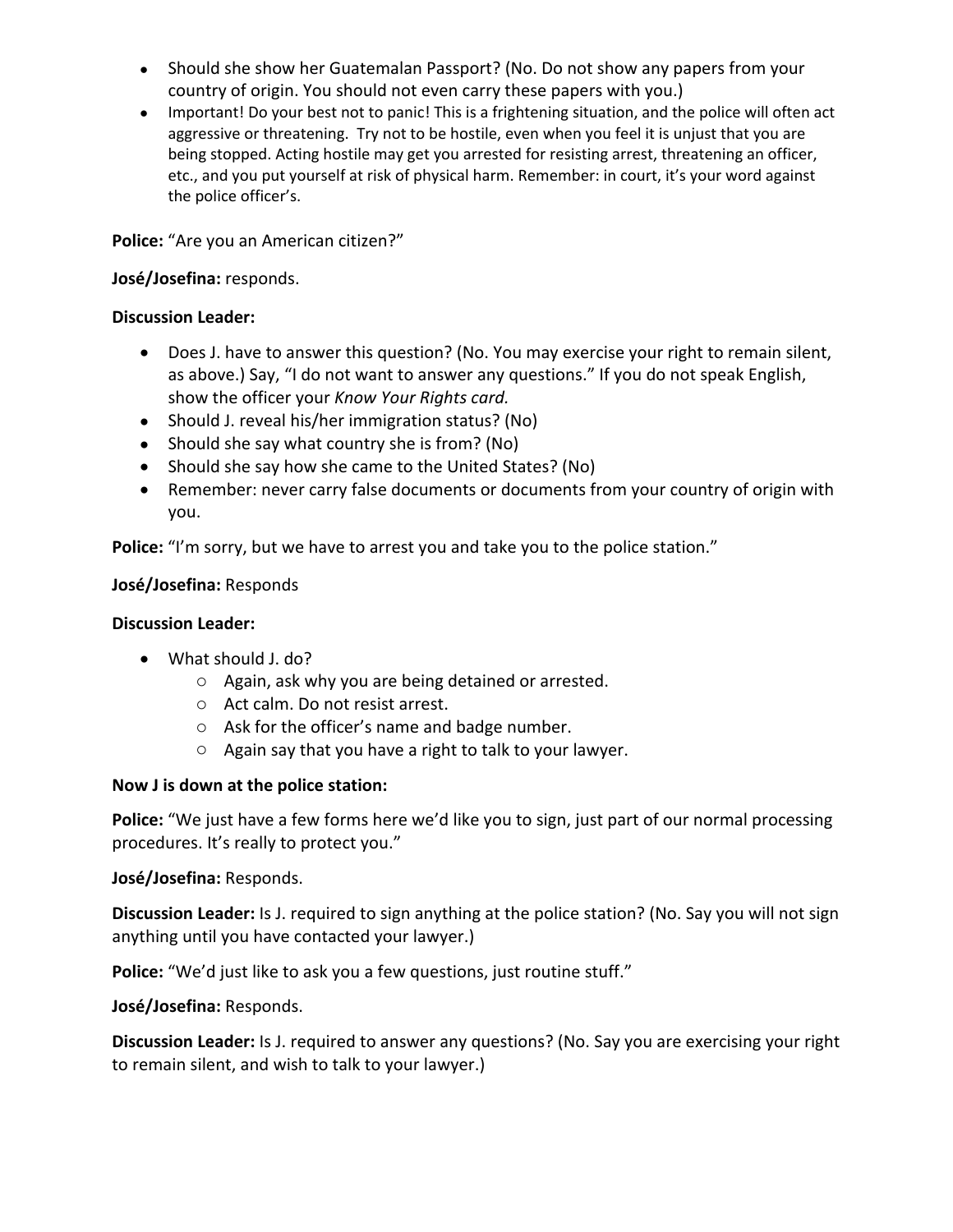- Should she show her Guatemalan Passport? (No. Do not show any papers from your country of origin. You should not even carry these papers with you.)
- Important! Do your best not to panic! This is a frightening situation, and the police will often act aggressive or threatening. Try not to be hostile, even when you feel it is unjust that you are being stopped. Acting hostile may get you arrested for resisting arrest, threatening an officer, etc., and you put yourself at risk of physical harm. Remember: in court, it's your word against the police officer's.

**Police:** "Are you an American citizen?"

#### **José/Josefina:** responds.

#### **Discussion Leader:**

- Does J. have to answer this question? (No. You may exercise your right to remain silent, as above.) Say, "I do not want to answer any questions." If you do not speak English, show the officer your *Know Your Rights card.*
- Should J. reveal his/her immigration status? (No)
- Should she say what country she is from? (No)
- Should she say how she came to the United States? (No)
- Remember: never carry false documents or documents from your country of origin with you.

**Police:** "I'm sorry, but we have to arrest you and take you to the police station."

#### **José/Josefina:** Responds

#### **Discussion Leader:**

- What should J. do?
	- o Again, ask why you are being detained or arrested.
	- o Act calm. Do not resist arrest.
	- o Ask for the officer's name and badge number.
	- o Again say that you have a right to talk to your lawyer.

#### **Now J is down at the police station:**

Police: "We just have a few forms here we'd like you to sign, just part of our normal processing procedures. It's really to protect you."

#### **José/Josefina:** Responds.

**Discussion Leader:** Is J. required to sign anything at the police station? (No. Say you will not sign anything until you have contacted your lawyer.)

Police: "We'd just like to ask you a few questions, just routine stuff."

**José/Josefina:** Responds.

**Discussion Leader:** Is J. required to answer any questions? (No. Say you are exercising your right to remain silent, and wish to talk to your lawyer.)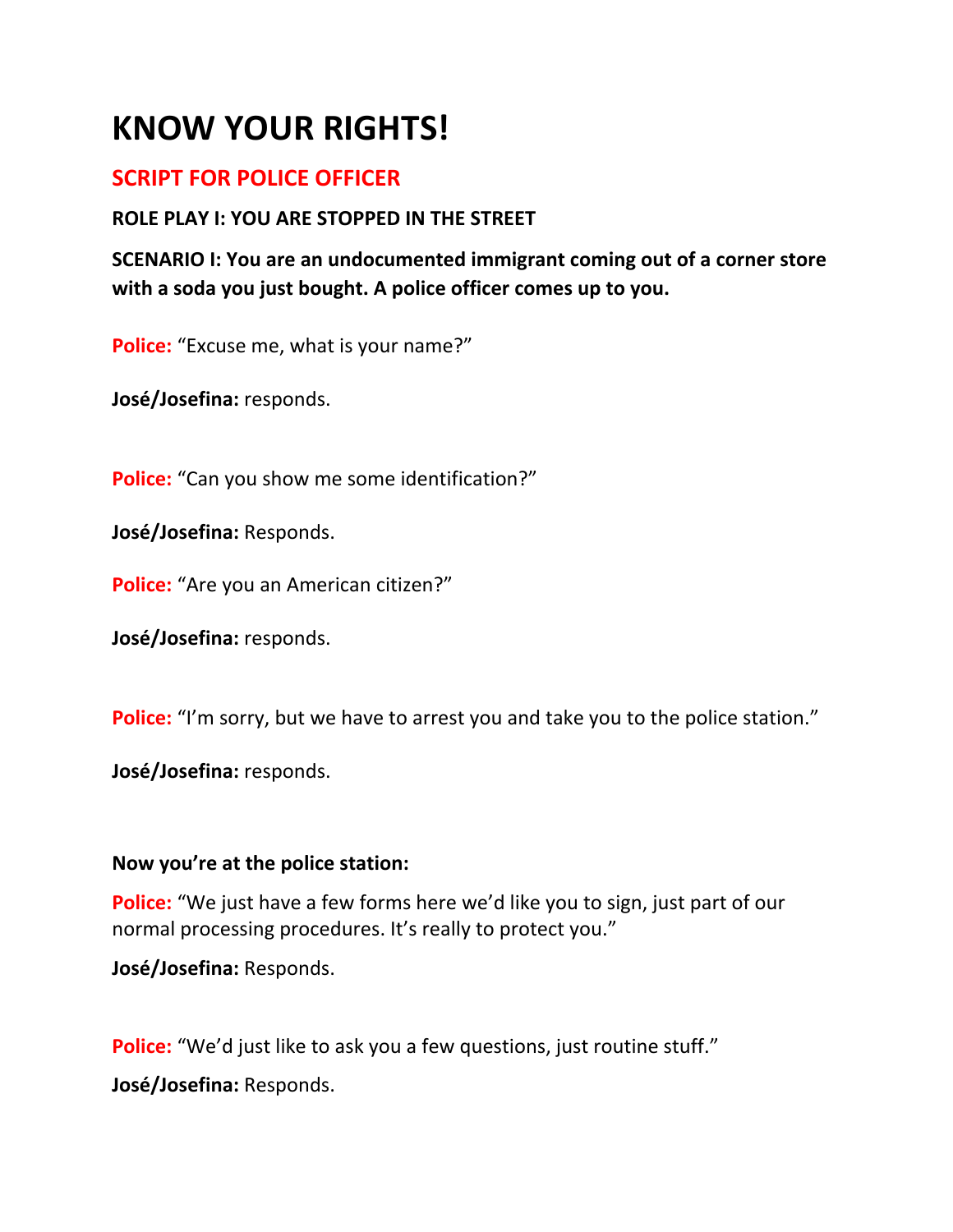# **KNOW YOUR RIGHTS!**

# **SCRIPT FOR POLICE OFFICER**

## **ROLE PLAY I: YOU ARE STOPPED IN THE STREET**

**SCENARIO I: You are an undocumented immigrant coming out of a corner store with a soda you just bought. A police officer comes up to you.**

**Police:** "Excuse me, what is your name?"

**José/Josefina:** responds.

**Police:** "Can you show me some identification?"

**José/Josefina:** Responds.

**Police:** "Are you an American citizen?"

**José/Josefina:** responds.

**Police:** "I'm sorry, but we have to arrest you and take you to the police station."

**José/Josefina:** responds.

### **Now you're at the police station:**

**Police:** "We just have a few forms here we'd like you to sign, just part of our normal processing procedures. It's really to protect you."

**José/Josefina:** Responds.

**Police:** "We'd just like to ask you a few questions, just routine stuff."

**José/Josefina:** Responds.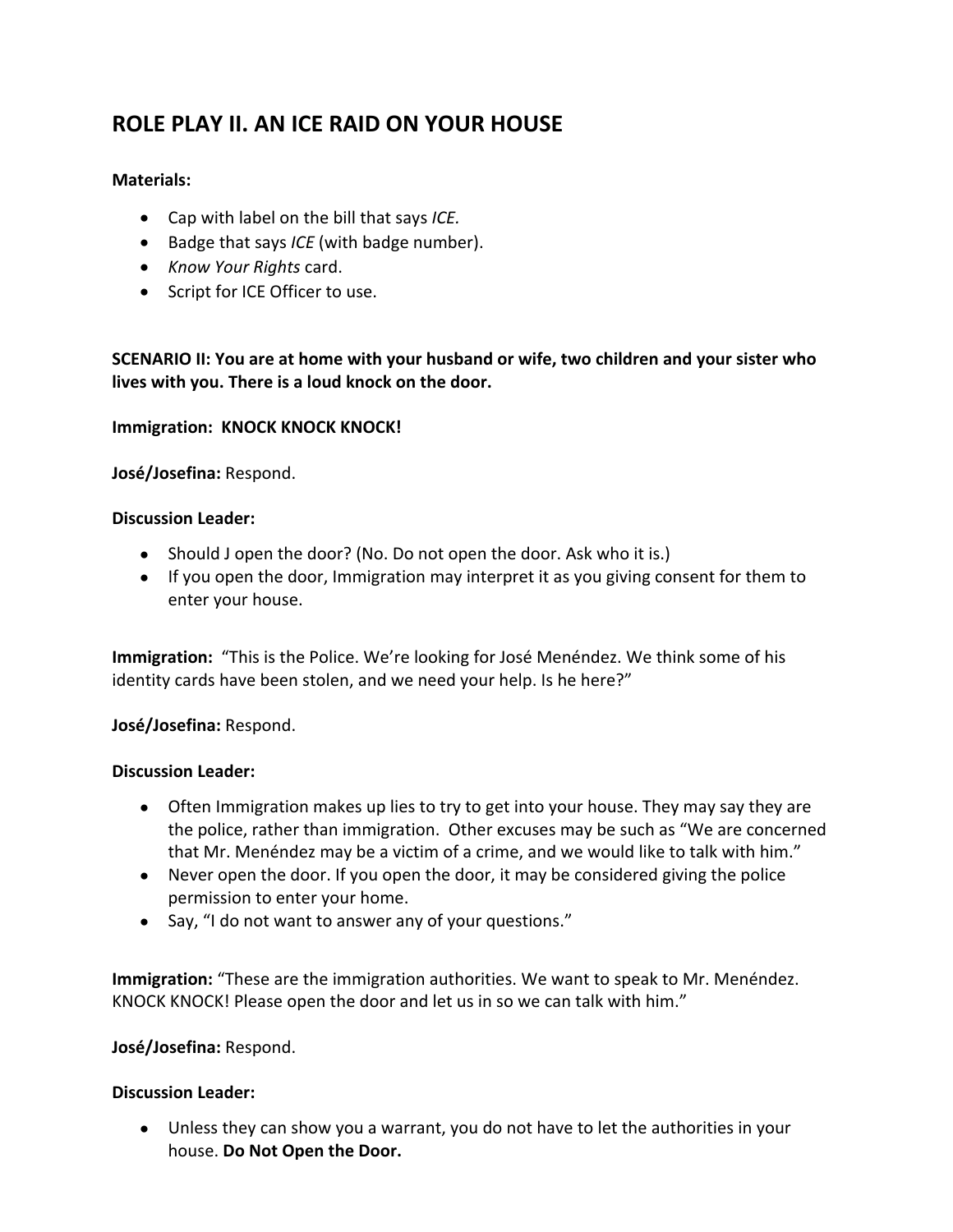## **ROLE PLAY II. AN ICE RAID ON YOUR HOUSE**

#### **Materials:**

- Cap with label on the bill that says *ICE.*
- Badge that says *ICE* (with badge number).
- *Know Your Rights* card.
- Script for ICE Officer to use.

**SCENARIO II: You are at home with your husband or wife, two children and your sister who lives with you. There is a loud knock on the door.** 

#### **Immigration: KNOCK KNOCK KNOCK!**

**José/Josefina:** Respond.

#### **Discussion Leader:**

- Should J open the door? (No. Do not open the door. Ask who it is.)
- If you open the door, Immigration may interpret it as you giving consent for them to enter your house.

**Immigration:** "This is the Police. We're looking for José Menéndez. We think some of his identity cards have been stolen, and we need your help. Is he here?"

#### **José/Josefina:** Respond.

#### **Discussion Leader:**

- Often Immigration makes up lies to try to get into your house. They may say they are the police, rather than immigration. Other excuses may be such as "We are concerned that Mr. Menéndez may be a victim of a crime, and we would like to talk with him."
- Never open the door. If you open the door, it may be considered giving the police permission to enter your home.
- Say, "I do not want to answer any of your questions."

**Immigration:** "These are the immigration authorities. We want to speak to Mr. Menéndez. KNOCK KNOCK! Please open the door and let us in so we can talk with him."

#### **José/Josefina:** Respond.

#### **Discussion Leader:**

 Unless they can show you a warrant, you do not have to let the authorities in your house. **Do Not Open the Door.**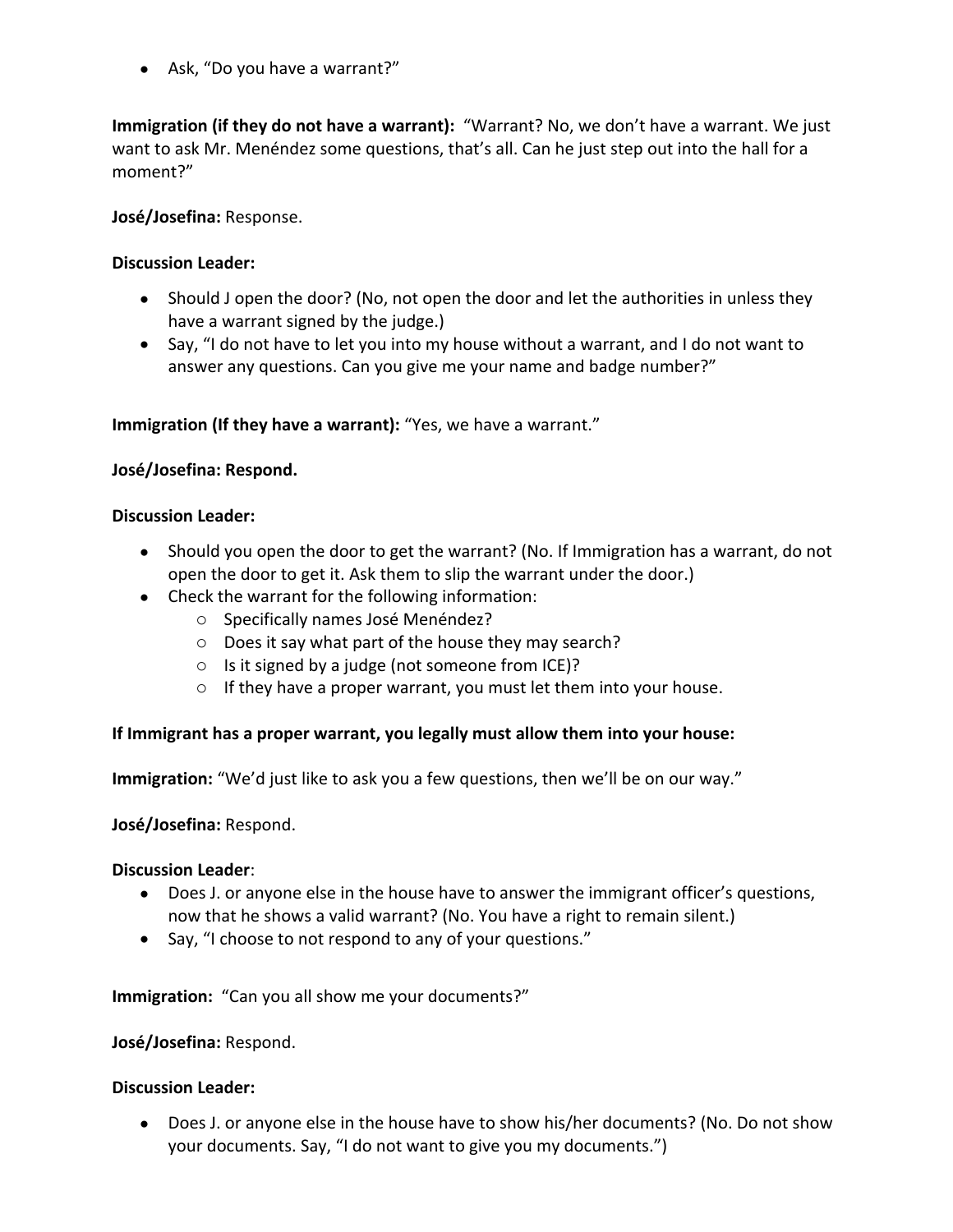• Ask, "Do you have a warrant?"

**Immigration (if they do not have a warrant):** "Warrant? No, we don't have a warrant. We just want to ask Mr. Menéndez some questions, that's all. Can he just step out into the hall for a moment?"

#### **José/Josefina:** Response.

#### **Discussion Leader:**

- Should J open the door? (No, not open the door and let the authorities in unless they have a warrant signed by the judge.)
- Say, "I do not have to let you into my house without a warrant, and I do not want to answer any questions. Can you give me your name and badge number?"

#### **Immigration (If they have a warrant):** "Yes, we have a warrant."

#### **José/Josefina: Respond.**

#### **Discussion Leader:**

- Should you open the door to get the warrant? (No. If Immigration has a warrant, do not open the door to get it. Ask them to slip the warrant under the door.)
- Check the warrant for the following information:
	- o Specifically names José Menéndez?
	- o Does it say what part of the house they may search?
	- o Is it signed by a judge (not someone from ICE)?
	- $\circ$  If they have a proper warrant, you must let them into your house.

#### **If Immigrant has a proper warrant, you legally must allow them into your house:**

**Immigration:** "We'd just like to ask you a few questions, then we'll be on our way."

#### **José/Josefina:** Respond.

#### **Discussion Leader**:

- Does J. or anyone else in the house have to answer the immigrant officer's questions, now that he shows a valid warrant? (No. You have a right to remain silent.)
- Say, "I choose to not respond to any of your questions."

**Immigration:** "Can you all show me your documents?"

#### **José/Josefina:** Respond.

#### **Discussion Leader:**

 Does J. or anyone else in the house have to show his/her documents? (No. Do not show your documents. Say, "I do not want to give you my documents.")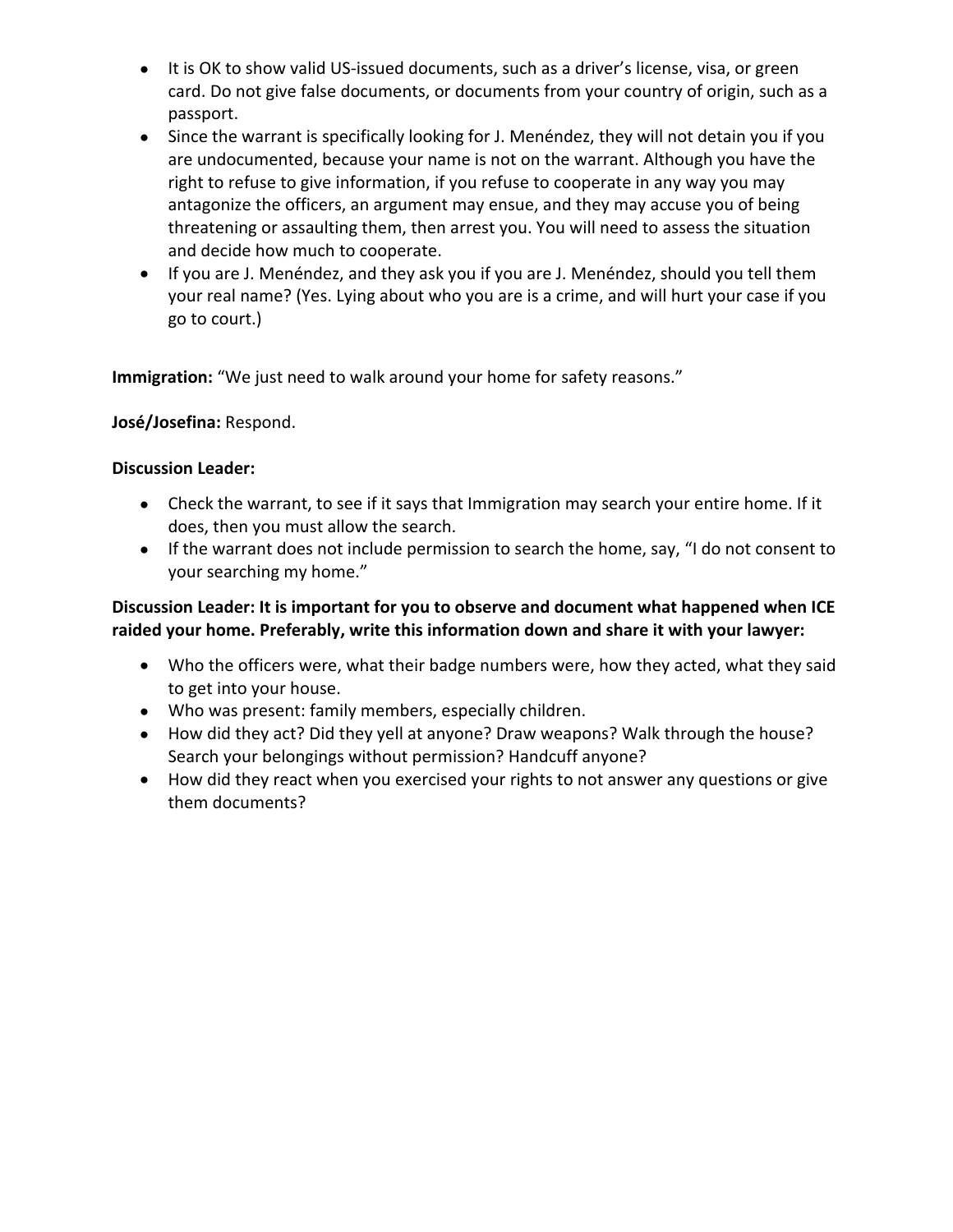- It is OK to show valid US-issued documents, such as a driver's license, visa, or green card. Do not give false documents, or documents from your country of origin, such as a passport.
- Since the warrant is specifically looking for J. Menéndez, they will not detain you if you are undocumented, because your name is not on the warrant. Although you have the right to refuse to give information, if you refuse to cooperate in any way you may antagonize the officers, an argument may ensue, and they may accuse you of being threatening or assaulting them, then arrest you. You will need to assess the situation and decide how much to cooperate.
- If you are J. Menéndez, and they ask you if you are J. Menéndez, should you tell them your real name? (Yes. Lying about who you are is a crime, and will hurt your case if you go to court.)

**Immigration:** "We just need to walk around your home for safety reasons."

#### **José/Josefina:** Respond.

#### **Discussion Leader:**

- Check the warrant, to see if it says that Immigration may search your entire home. If it does, then you must allow the search.
- If the warrant does not include permission to search the home, say, "I do not consent to your searching my home."

#### **Discussion Leader: It is important for you to observe and document what happened when ICE raided your home. Preferably, write this information down and share it with your lawyer:**

- Who the officers were, what their badge numbers were, how they acted, what they said to get into your house.
- Who was present: family members, especially children.
- How did they act? Did they yell at anyone? Draw weapons? Walk through the house? Search your belongings without permission? Handcuff anyone?
- How did they react when you exercised your rights to not answer any questions or give them documents?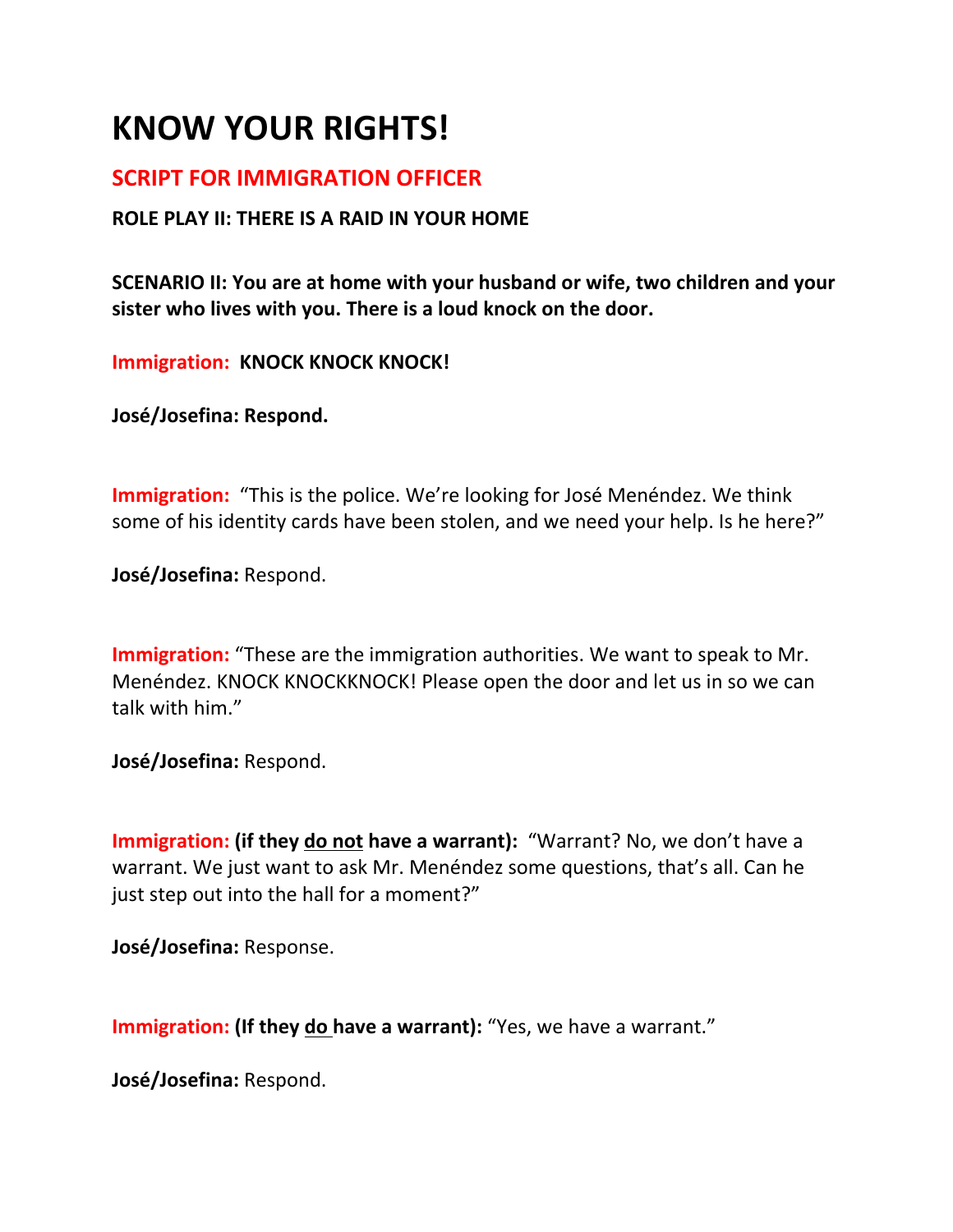# **KNOW YOUR RIGHTS!**

## **SCRIPT FOR IMMIGRATION OFFICER**

### **ROLE PLAY II: THERE IS A RAID IN YOUR HOME**

**SCENARIO II: You are at home with your husband or wife, two children and your sister who lives with you. There is a loud knock on the door.** 

**Immigration: KNOCK KNOCK KNOCK!**

**José/Josefina: Respond.**

**Immigration:** "This is the police. We're looking for José Menéndez. We think some of his identity cards have been stolen, and we need your help. Is he here?"

**José/Josefina:** Respond.

**Immigration:** "These are the immigration authorities. We want to speak to Mr. Menéndez. KNOCK KNOCKKNOCK! Please open the door and let us in so we can talk with him."

**José/Josefina:** Respond.

**Immigration: (if they do not have a warrant):** "Warrant? No, we don't have a warrant. We just want to ask Mr. Menéndez some questions, that's all. Can he just step out into the hall for a moment?"

**José/Josefina:** Response.

**Immigration: (If they do have a warrant):** "Yes, we have a warrant."

**José/Josefina:** Respond.